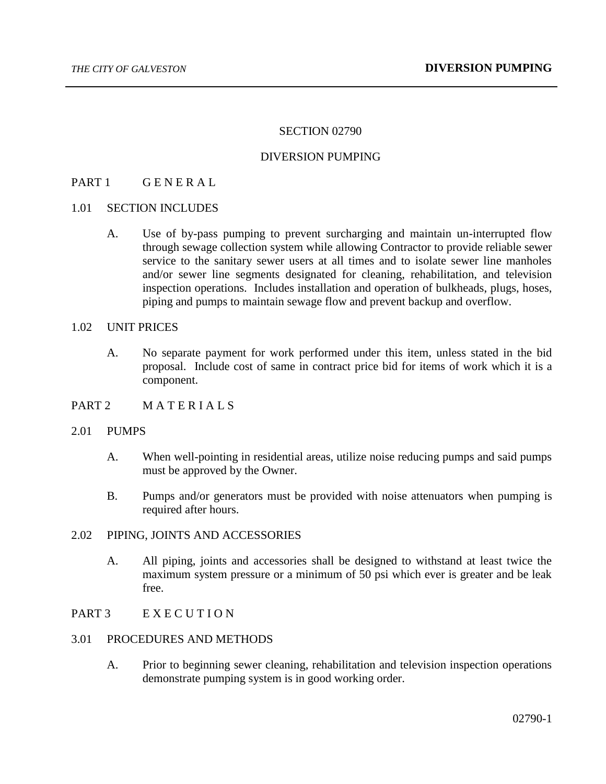#### SECTION 02790

## DIVERSION PUMPING

# PART 1 GENERAL

#### 1.01 SECTION INCLUDES

A. Use of by-pass pumping to prevent surcharging and maintain un-interrupted flow through sewage collection system while allowing Contractor to provide reliable sewer service to the sanitary sewer users at all times and to isolate sewer line manholes and/or sewer line segments designated for cleaning, rehabilitation, and television inspection operations. Includes installation and operation of bulkheads, plugs, hoses, piping and pumps to maintain sewage flow and prevent backup and overflow.

## 1.02 UNIT PRICES

- A. No separate payment for work performed under this item, unless stated in the bid proposal. Include cost of same in contract price bid for items of work which it is a component.
- PART 2 MATERIALS

#### 2.01 PUMPS

- A. When well-pointing in residential areas, utilize noise reducing pumps and said pumps must be approved by the Owner.
- B. Pumps and/or generators must be provided with noise attenuators when pumping is required after hours.

## 2.02 PIPING, JOINTS AND ACCESSORIES

A. All piping, joints and accessories shall be designed to withstand at least twice the maximum system pressure or a minimum of 50 psi which ever is greater and be leak free.

## PART 3 EXECUTION

## 3.01 PROCEDURES AND METHODS

A. Prior to beginning sewer cleaning, rehabilitation and television inspection operations demonstrate pumping system is in good working order.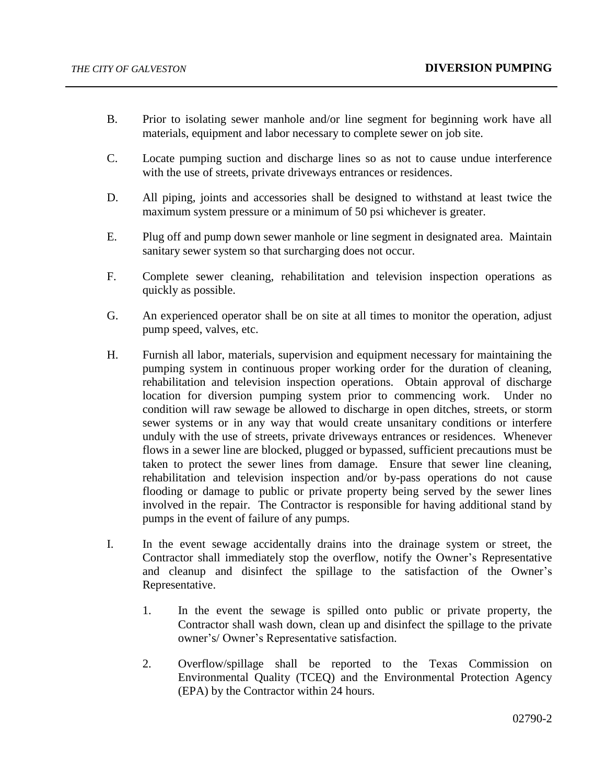- B. Prior to isolating sewer manhole and/or line segment for beginning work have all materials, equipment and labor necessary to complete sewer on job site.
- C. Locate pumping suction and discharge lines so as not to cause undue interference with the use of streets, private driveways entrances or residences.
- D. All piping, joints and accessories shall be designed to withstand at least twice the maximum system pressure or a minimum of 50 psi whichever is greater.
- E. Plug off and pump down sewer manhole or line segment in designated area. Maintain sanitary sewer system so that surcharging does not occur.
- F. Complete sewer cleaning, rehabilitation and television inspection operations as quickly as possible.
- G. An experienced operator shall be on site at all times to monitor the operation, adjust pump speed, valves, etc.
- H. Furnish all labor, materials, supervision and equipment necessary for maintaining the pumping system in continuous proper working order for the duration of cleaning, rehabilitation and television inspection operations. Obtain approval of discharge location for diversion pumping system prior to commencing work. Under no condition will raw sewage be allowed to discharge in open ditches, streets, or storm sewer systems or in any way that would create unsanitary conditions or interfere unduly with the use of streets, private driveways entrances or residences. Whenever flows in a sewer line are blocked, plugged or bypassed, sufficient precautions must be taken to protect the sewer lines from damage. Ensure that sewer line cleaning, rehabilitation and television inspection and/or by-pass operations do not cause flooding or damage to public or private property being served by the sewer lines involved in the repair. The Contractor is responsible for having additional stand by pumps in the event of failure of any pumps.
- I. In the event sewage accidentally drains into the drainage system or street, the Contractor shall immediately stop the overflow, notify the Owner's Representative and cleanup and disinfect the spillage to the satisfaction of the Owner's Representative.
	- 1. In the event the sewage is spilled onto public or private property, the Contractor shall wash down, clean up and disinfect the spillage to the private owner's/ Owner's Representative satisfaction.
	- 2. Overflow/spillage shall be reported to the Texas Commission on Environmental Quality (TCEQ) and the Environmental Protection Agency (EPA) by the Contractor within 24 hours.